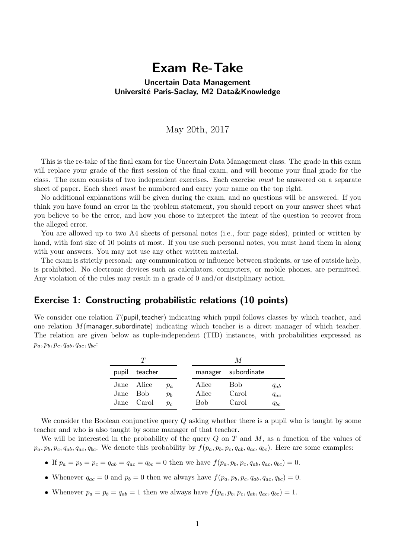# Exam Re-Take

#### Uncertain Data Management Université Paris-Saclay, M2 Data&Knowledge

### May 20th, 2017

This is the re-take of the final exam for the Uncertain Data Management class. The grade in this exam will replace your grade of the first session of the final exam, and will become your final grade for the class. The exam consists of two independent exercises. Each exercise must be answered on a separate sheet of paper. Each sheet *must* be numbered and carry your name on the top right.

No additional explanations will be given during the exam, and no questions will be answered. If you think you have found an error in the problem statement, you should report on your answer sheet what you believe to be the error, and how you chose to interpret the intent of the question to recover from the alleged error.

You are allowed up to two A4 sheets of personal notes (i.e., four page sides), printed or written by hand, with font size of 10 points at most. If you use such personal notes, you must hand them in along with your answers. You may not use any other written material.

The exam is strictly personal: any communication or influence between students, or use of outside help, is prohibited. No electronic devices such as calculators, computers, or mobile phones, are permitted. Any violation of the rules may result in a grade of 0 and/or disciplinary action.

## Exercise 1: Constructing probabilistic relations (10 points)

We consider one relation  $T(pupil, teacher)$  indicating which pupil follows classes by which teacher, and one relation  $M$ (manager, subordinate) indicating which teacher is a direct manager of which teacher. The relation are given below as tuple-independent (TID) instances, with probabilities expressed as  $p_a, p_b, p_c, q_{ab}, q_{ac}, q_{bc}$ :

|       |            |       |       | M                   |          |
|-------|------------|-------|-------|---------------------|----------|
| pupil | teacher    |       |       | manager subordinate |          |
| Jane  | Alice      | $p_a$ | Alice | <b>Bob</b>          | $q_{ab}$ |
| Jane  | <b>Bob</b> | $p_h$ | Alice | Carol               | $q_{ac}$ |
|       | Jane Carol | $p_c$ | Bob   | Carol               | $q_{bc}$ |

We consider the Boolean conjunctive query Q asking whether there is a pupil who is taught by some teacher and who is also taught by some manager of that teacher.

We will be interested in the probability of the query  $Q$  on  $T$  and  $M$ , as a function of the values of  $p_a, p_b, p_c, q_{ab}, q_{ac}, q_{bc}$ . We denote this probability by  $f(p_a, p_b, p_c, q_{ab}, q_{ac}, q_{bc})$ . Here are some examples:

- If  $p_a = p_b = p_c = q_{ab} = q_{ac} = q_{bc} = 0$  then we have  $f(p_a, p_b, p_c, q_{ab}, q_{ac}, q_{bc}) = 0$ .
- Whenever  $q_{ac} = 0$  and  $p_b = 0$  then we always have  $f(p_a, p_b, p_c, q_{ab}, q_{ac}, q_{bc}) = 0$ .
- Whenever  $p_a = p_b = q_{ab} = 1$  then we always have  $f(p_a, p_b, p_c, q_{ab}, q_{ac}, q_{bc}) = 1$ .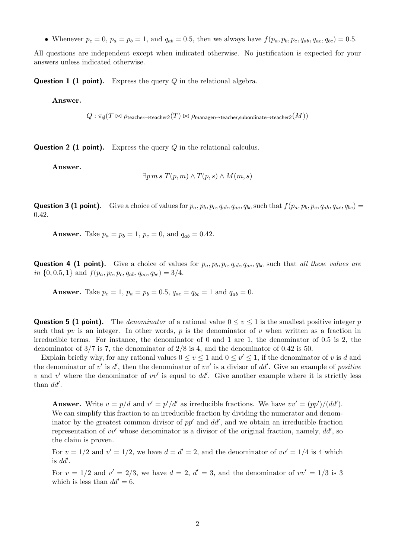• Whenever  $p_c = 0$ ,  $p_a = p_b = 1$ , and  $q_{ab} = 0.5$ , then we always have  $f(p_a, p_b, p_c, q_{ab}, q_{ac}, q_{bc}) = 0.5$ .

All questions are independent except when indicated otherwise. No justification is expected for your answers unless indicated otherwise.

**Question 1 (1 point).** Express the query  $Q$  in the relational algebra.

Answer.

 $Q:\pi_{\emptyset}(T\Join\rho_{\mathsf{teacher}\mapsto\mathsf{teacher2}}(T)\bowtie\rho_{\mathsf{manager}\mapsto\mathsf{teacher},\mathsf{subordinate}\mapsto\mathsf{teacher2}}(M))$ 

**Question 2 (1 point).** Express the query  $Q$  in the relational calculus.

Answer.

$$
\exists p \, m \, s \, T(p,m) \land T(p,s) \land M(m,s)
$$

**Question 3 (1 point).** Give a choice of values for  $p_a, p_b, p_c, q_{ab}, q_{ac}, q_{bc}$  such that  $f(p_a, p_b, p_c, q_{ab}, q_{ac}, q_{bc}) =$ 0.42.

**Answer.** Take  $p_a = p_b = 1$ ,  $p_c = 0$ , and  $q_{ab} = 0.42$ .

**Question 4 (1 point).** Give a choice of values for  $p_a, p_b, p_c, q_{ab}, q_{ac}, q_{bc}$  such that all these values are in  $\{0, 0.5, 1\}$  and  $f(p_a, p_b, p_c, q_{ab}, q_{ac}, q_{bc}) = 3/4$ .

**Answer.** Take  $p_c = 1$ ,  $p_a = p_b = 0.5$ ,  $q_{ac} = q_{bc} = 1$  and  $q_{ab} = 0$ .

**Question 5 (1 point).** The denominator of a rational value  $0 \le v \le 1$  is the smallest positive integer p such that pv is an integer. In other words, p is the denominator of v when written as a fraction in irreducible terms. For instance, the denominator of 0 and 1 are 1, the denominator of 0.5 is 2, the denominator of  $3/7$  is 7, the denominator of  $2/8$  is 4, and the denominator of 0.42 is 50.

Explain briefly why, for any rational values  $0 \le v \le 1$  and  $0 \le v' \le 1$ , if the denominator of v is d and the denominator of  $v'$  is  $d'$ , then the denominator of  $vv'$  is a divisor of  $dd'$ . Give an example of positive v and v' where the denominator of vv' is equal to  $dd'$ . Give another example where it is strictly less than  $dd'$ .

**Answer.** Write  $v = p/d$  and  $v' = p'/d'$  as irreducible fractions. We have  $vv' = (pp')/(dd')$ . We can simplify this fraction to an irreducible fraction by dividing the numerator and denominator by the greatest common divisor of  $pp'$  and  $dd'$ , and we obtain an irreducible fraction representation of  $vv'$  whose denominator is a divisor of the original fraction, namely,  $dd'$ , so the claim is proven.

For  $v = 1/2$  and  $v' = 1/2$ , we have  $d = d' = 2$ , and the denominator of  $vv' = 1/4$  is 4 which is  $dd'$ .

For  $v = 1/2$  and  $v' = 2/3$ , we have  $d = 2$ ,  $d' = 3$ , and the denominator of  $vv' = 1/3$  is 3 which is less than  $dd' = 6$ .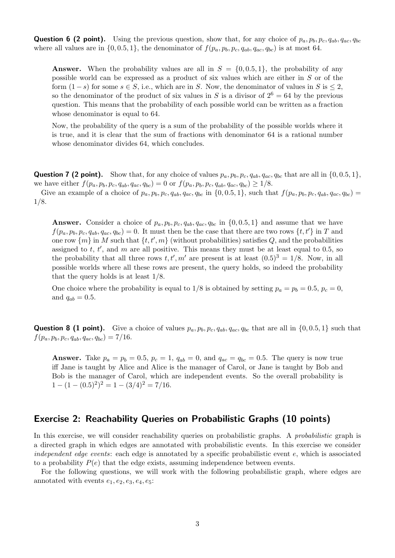**Question 6 (2 point).** Using the previous question, show that, for any choice of  $p_a, p_b, p_c, q_{ab}, q_{ac}, q_{bc}$ where all values are in  $\{0, 0.5, 1\}$ , the denominator of  $f(p_a, p_b, p_c, q_{ab}, q_{ac}, q_{bc})$  is at most 64.

**Answer.** When the probability values are all in  $S = \{0, 0.5, 1\}$ , the probability of any possible world can be expressed as a product of six values which are either in S or of the form  $(1-s)$  for some  $s \in S$ , i.e., which are in S. Now, the denominator of values in S is < 2, so the denominator of the product of six values in S is a divisor of  $2^6 = 64$  by the previous question. This means that the probability of each possible world can be written as a fraction whose denominator is equal to 64.

Now, the probability of the query is a sum of the probability of the possible worlds where it is true, and it is clear that the sum of fractions with denominator 64 is a rational number whose denominator divides 64, which concludes.

**Question 7 (2 point).** Show that, for any choice of values  $p_a, p_b, p_c, q_{ab}, q_{ac}, q_{bc}$  that are all in  $\{0, 0.5, 1\}$ , we have either  $f(p_a, p_b, p_c, q_{ab}, q_{ac}, q_{bc}) = 0$  or  $f(p_a, p_b, p_c, q_{ab}, q_{ac}, q_{bc}) \ge 1/8$ .

Give an example of a choice of  $p_a, p_b, p_c, q_{ab}, q_{ac}, q_{bc}$  in  $\{0, 0.5, 1\}$ , such that  $f(p_a, p_b, p_c, q_{ab}, q_{ac}, q_{bc}) =$ 1/8.

**Answer.** Consider a choice of  $p_a, p_b, p_c, q_{ab}, q_{ac}, q_{bc}$  in  $\{0, 0.5, 1\}$  and assume that we have  $f(p_a, p_b, p_c, q_{ab}, q_{ac}, q_{bc}) = 0$ . It must then be the case that there are two rows  $\{t, t'\}$  in T and one row  $\{m\}$  in M such that  $\{t, t', m\}$  (without probabilities) satisfies Q, and the probabilities assigned to  $t, t'$ , and  $m$  are all positive. This means they must be at least equal to 0.5, so the probability that all three rows  $t, t', m'$  are present is at least  $(0.5)^3 = 1/8$ . Now, in all possible worlds where all these rows are present, the query holds, so indeed the probability that the query holds is at least 1/8.

One choice where the probability is equal to  $1/8$  is obtained by setting  $p_a = p_b = 0.5$ ,  $p_c = 0$ , and  $q_{ab} = 0.5$ .

**Question 8 (1 point).** Give a choice of values  $p_a, p_b, p_c, q_{ab}, q_{ac}, q_{bc}$  that are all in  $\{0, 0.5, 1\}$  such that  $f(p_a, p_b, p_c, q_{ab}, q_{ac}, q_{bc}) = 7/16.$ 

Answer. Take  $p_a = p_b = 0.5$ ,  $p_c = 1$ ,  $q_{ab} = 0$ , and  $q_{ac} = q_{bc} = 0.5$ . The query is now true iff Jane is taught by Alice and Alice is the manager of Carol, or Jane is taught by Bob and Bob is the manager of Carol, which are independent events. So the overall probability is  $1 - (1 - (0.5)^2)^2 = 1 - (3/4)^2 = 7/16.$ 

### Exercise 2: Reachability Queries on Probabilistic Graphs (10 points)

In this exercise, we will consider reachability queries on probabilistic graphs. A *probabilistic* graph is a directed graph in which edges are annotated with probabilistic events. In this exercise we consider independent edge events: each edge is annotated by a specific probabilistic event  $e$ , which is associated to a probability  $P(e)$  that the edge exists, assuming independence between events.

For the following questions, we will work with the following probabilistic graph, where edges are annotated with events  $e_1, e_2, e_3, e_4, e_5$ :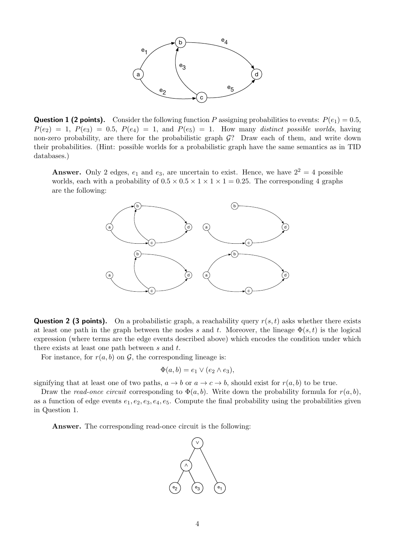

**Question 1 (2 points).** Consider the following function P assigning probabilities to events:  $P(e_1) = 0.5$ ,  $P(e_2) = 1$ ,  $P(e_3) = 0.5$ ,  $P(e_4) = 1$ , and  $P(e_5) = 1$ . How many distinct possible worlds, having non-zero probability, are there for the probabilistic graph  $\mathcal{G}$ ? Draw each of them, and write down their probabilities. (Hint: possible worlds for a probabilistic graph have the same semantics as in TID databases.)

**Answer.** Only 2 edges,  $e_1$  and  $e_3$ , are uncertain to exist. Hence, we have  $2^2 = 4$  possible worlds, each with a probability of  $0.5 \times 0.5 \times 1 \times 1 \times 1 = 0.25$ . The corresponding 4 graphs are the following:



**Question 2 (3 points).** On a probabilistic graph, a reachability query  $r(s, t)$  asks whether there exists at least one path in the graph between the nodes s and t. Moreover, the lineage  $\Phi(s,t)$  is the logical expression (where terms are the edge events described above) which encodes the condition under which there exists at least one path between s and t.

For instance, for  $r(a, b)$  on  $\mathcal G$ , the corresponding lineage is:

$$
\Phi(a,b) = e_1 \vee (e_2 \wedge e_3),
$$

signifying that at least one of two paths,  $a \to b$  or  $a \to c \to b$ , should exist for  $r(a, b)$  to be true.

Draw the read-once circuit corresponding to  $\Phi(a, b)$ . Write down the probability formula for  $r(a, b)$ , as a function of edge events  $e_1, e_2, e_3, e_4, e_5$ . Compute the final probability using the probabilities given in Question 1.

Answer. The corresponding read-once circuit is the following:

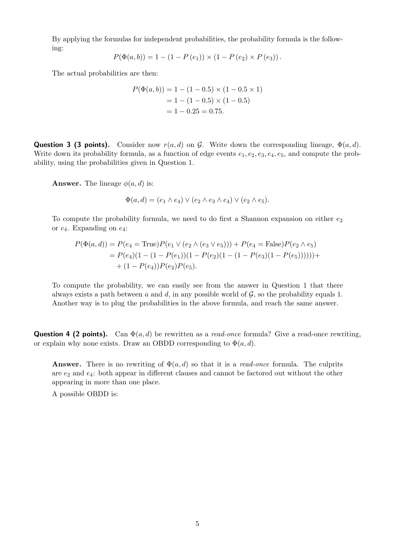By applying the formulas for independent probabilities, the probability formula is the following:

$$
P(\Phi(a,b)) = 1 - (1 - P(e_1)) \times (1 - P(e_2) \times P(e_3)).
$$

The actual probabilities are then:

$$
P(\Phi(a, b)) = 1 - (1 - 0.5) \times (1 - 0.5 \times 1)
$$
  
= 1 - (1 - 0.5) \times (1 - 0.5)  
= 1 - 0.25 = 0.75.

**Question 3 (3 points).** Consider now  $r(a, d)$  on G. Write down the corresponding lineage,  $\Phi(a, d)$ . Write down its probability formula, as a function of edge events  $e_1, e_2, e_3, e_4, e_5$ , and compute the probability, using the probabilities given in Question 1.

**Answer.** The lineage  $\phi(a, d)$  is:

$$
\Phi(a,d) = (e_1 \wedge e_4) \vee (e_2 \wedge e_3 \wedge e_4) \vee (e_2 \wedge e_5).
$$

To compute the probability formula, we need to do first a Shannon expansion on either  $e_2$ or  $e_4$ . Expanding on  $e_4$ :

$$
P(\Phi(a,d)) = P(e_4 = \text{True})P(e_1 \lor (e_2 \land (e_3 \lor e_5))) + P(e_4 = \text{False})P(e_2 \land e_5)
$$
  
= 
$$
P(e_4)(1 - (1 - P(e_1))(1 - P(e_2)(1 - (1 - P(e_3)(1 - P(e_5)))))) +
$$
  
+ 
$$
(1 - P(e_4))P(e_2)P(e_5).
$$

To compute the probability, we can easily see from the answer in Question 1 that there always exists a path between a and d, in any possible world of  $\mathcal{G}$ , so the probability equals 1. Another way is to plug the probabilities in the above formula, and reach the same answer.

**Question 4 (2 points).** Can  $\Phi(a, d)$  be rewritten as a *read-once* formula? Give a read-once rewriting, or explain why none exists. Draw an OBDD corresponding to  $\Phi(a, d)$ .

**Answer.** There is no rewriting of  $\Phi(a, d)$  so that it is a *read-once* formula. The culprits are  $e_2$  and  $e_4$ : both appear in different clauses and cannot be factored out without the other appearing in more than one place.

A possible OBDD is: